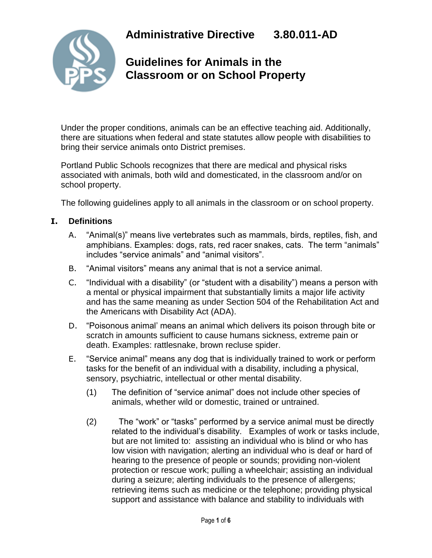

## **Guidelines for Animals in the Classroom or on School Property**

Under the proper conditions, animals can be an effective teaching aid. Additionally, there are situations when federal and state statutes allow people with disabilities to bring their service animals onto District premises.

Portland Public Schools recognizes that there are medical and physical risks associated with animals, both wild and domesticated, in the classroom and/or on school property.

The following guidelines apply to all animals in the classroom or on school property.

#### **I. Definitions**

- A. "Animal(s)" means live vertebrates such as mammals, birds, reptiles, fish, and amphibians. Examples: dogs, rats, red racer snakes, cats. The term "animals" includes "service animals" and "animal visitors".
- B. "Animal visitors" means any animal that is not a service animal.
- C. "Individual with a disability" (or "student with a disability") means a person with a mental or physical impairment that substantially limits a major life activity and has the same meaning as under Section 504 of the Rehabilitation Act and the Americans with Disability Act (ADA).
- D. "Poisonous animal' means an animal which delivers its poison through bite or scratch in amounts sufficient to cause humans sickness, extreme pain or death. Examples: rattlesnake, brown recluse spider.
- E. "Service animal" means any dog that is individually trained to work or perform tasks for the benefit of an individual with a disability, including a physical, sensory, psychiatric, intellectual or other mental disability.
	- (1) The definition of "service animal" does not include other species of animals, whether wild or domestic, trained or untrained.
	- (2) The "work" or "tasks" performed by a service animal must be directly related to the individual's disability. Examples of work or tasks include, but are not limited to: assisting an individual who is blind or who has low vision with navigation; alerting an individual who is deaf or hard of hearing to the presence of people or sounds; providing non-violent protection or rescue work; pulling a wheelchair; assisting an individual during a seizure; alerting individuals to the presence of allergens; retrieving items such as medicine or the telephone; providing physical support and assistance with balance and stability to individuals with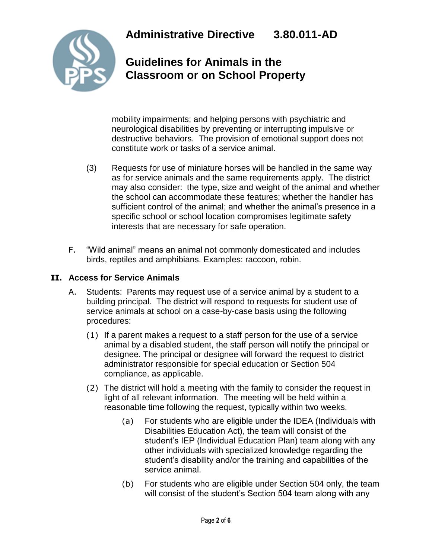

# **Guidelines for Animals in the Classroom or on School Property**

mobility impairments; and helping persons with psychiatric and neurological disabilities by preventing or interrupting impulsive or destructive behaviors. The provision of emotional support does not constitute work or tasks of a service animal.

- (3) Requests for use of miniature horses will be handled in the same way as for service animals and the same requirements apply. The district may also consider: the type, size and weight of the animal and whether the school can accommodate these features; whether the handler has sufficient control of the animal; and whether the animal's presence in a specific school or school location compromises legitimate safety interests that are necessary for safe operation.
- F. "Wild animal" means an animal not commonly domesticated and includes birds, reptiles and amphibians. Examples: raccoon, robin.

### **II. Access for Service Animals**

- A. Students:Parents may request use of a service animal by a student to a building principal.The district will respond to requests for student use of service animals at school on a case-by-case basis using the following procedures:
	- (1) If a parent makes a request to a staff person for the use of a service animal by a disabled student, the staff person will notify the principal or designee. The principal or designee will forward the request to district administrator responsible for special education or Section 504 compliance, as applicable.
	- (2) The district will hold a meeting with the family to consider the request in light of all relevant information. The meeting will be held within a reasonable time following the request, typically within two weeks.
		- (a) For students who are eligible under the IDEA (Individuals with Disabilities Education Act), the team will consist of the student's IEP (Individual Education Plan) team along with any other individuals with specialized knowledge regarding the student's disability and/or the training and capabilities of the service animal.
		- (b) For students who are eligible under Section 504 only, the team will consist of the student's Section 504 team along with any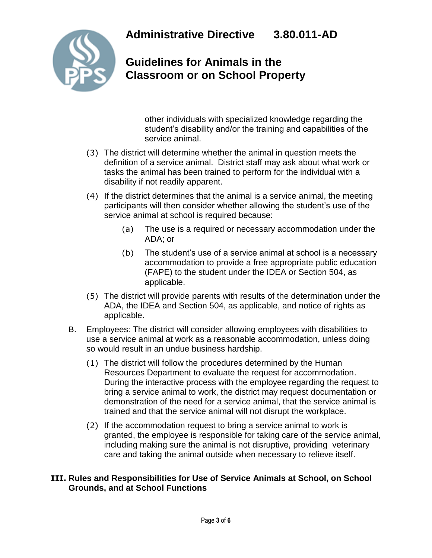

## **Guidelines for Animals in the Classroom or on School Property**

other individuals with specialized knowledge regarding the student's disability and/or the training and capabilities of the service animal.

- (3) The district will determine whether the animal in question meets the definition of a service animal. District staff may ask about what work or tasks the animal has been trained to perform for the individual with a disability if not readily apparent.
- (4) If the district determines that the animal is a service animal, the meeting participants will then consider whether allowing the student's use of the service animal at school is required because:
	- (a) The use is a required or necessary accommodation under the ADA; or
	- (b) The student's use of a service animal at school is a necessary accommodation to provide a free appropriate public education (FAPE) to the student under the IDEA or Section 504, as applicable.
- (5) The district will provide parents with results of the determination under the ADA, the IDEA and Section 504, as applicable, and notice of rights as applicable.
- B. Employees: The district will consider allowing employees with disabilities to use a service animal at work as a reasonable accommodation, unless doing so would result in an undue business hardship.
	- (1) The district will follow the procedures determined by the Human Resources Department to evaluate the request for accommodation. During the interactive process with the employee regarding the request to bring a service animal to work, the district may request documentation or demonstration of the need for a service animal, that the service animal is trained and that the service animal will not disrupt the workplace.
	- (2) If the accommodation request to bring a service animal to work is granted, the employee is responsible for taking care of the service animal, including making sure the animal is not disruptive, providing veterinary care and taking the animal outside when necessary to relieve itself.

#### **III. Rules and Responsibilities for Use of Service Animals at School, on School Grounds, and at School Functions**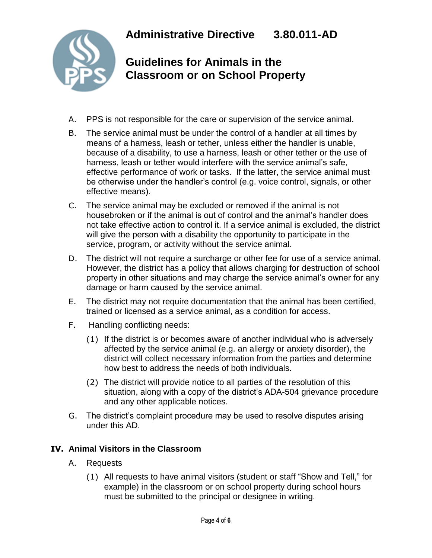

### **Guidelines for Animals in the Classroom or on School Property**

- A. PPS is not responsible for the care or supervision of the service animal.
- B. The service animal must be under the control of a handler at all times by means of a harness, leash or tether, unless either the handler is unable, because of a disability, to use a harness, leash or other tether or the use of harness, leash or tether would interfere with the service animal's safe, effective performance of work or tasks. If the latter, the service animal must be otherwise under the handler's control (e.g. voice control, signals, or other effective means).
- C. The service animal may be excluded or removed if the animal is not housebroken or if the animal is out of control and the animal's handler does not take effective action to control it. If a service animal is excluded, the district will give the person with a disability the opportunity to participate in the service, program, or activity without the service animal.
- D. The district will not require a surcharge or other fee for use of a service animal. However, the district has a policy that allows charging for destruction of school property in other situations and may charge the service animal's owner for any damage or harm caused by the service animal.
- E. The district may not require documentation that the animal has been certified, trained or licensed as a service animal, as a condition for access.
- F. Handling conflicting needs:
	- (1) If the district is or becomes aware of another individual who is adversely affected by the service animal (e.g. an allergy or anxiety disorder), the district will collect necessary information from the parties and determine how best to address the needs of both individuals.
	- (2) The district will provide notice to all parties of the resolution of this situation, along with a copy of the district's ADA-504 grievance procedure and any other applicable notices.
- G. The district's complaint procedure may be used to resolve disputes arising under this AD.

#### **IV. Animal Visitors in the Classroom**

- A. Requests
	- (1) All requests to have animal visitors (student or staff "Show and Tell," for example) in the classroom or on school property during school hours must be submitted to the principal or designee in writing.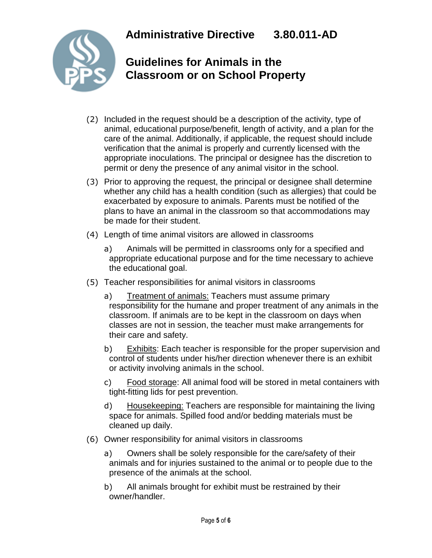

## **Guidelines for Animals in the Classroom or on School Property**

- (2) Included in the request should be a description of the activity, type of animal, educational purpose/benefit, length of activity, and a plan for the care of the animal. Additionally, if applicable, the request should include verification that the animal is properly and currently licensed with the appropriate inoculations. The principal or designee has the discretion to permit or deny the presence of any animal visitor in the school.
- (3) Prior to approving the request, the principal or designee shall determine whether any child has a health condition (such as allergies) that could be exacerbated by exposure to animals. Parents must be notified of the plans to have an animal in the classroom so that accommodations may be made for their student.
- (4) Length of time animal visitors are allowed in classrooms
	- a) Animals will be permitted in classrooms only for a specified and appropriate educational purpose and for the time necessary to achieve the educational goal.
- (5) Teacher responsibilities for animal visitors in classrooms
	- a) Treatment of animals: Teachers must assume primary responsibility for the humane and proper treatment of any animals in the classroom. If animals are to be kept in the classroom on days when classes are not in session, the teacher must make arrangements for their care and safety.
	- b) Exhibits: Each teacher is responsible for the proper supervision and control of students under his/her direction whenever there is an exhibit or activity involving animals in the school.
	- c) Food storage: All animal food will be stored in metal containers with tight-fitting lids for pest prevention.
	- d) Housekeeping: Teachers are responsible for maintaining the living space for animals. Spilled food and/or bedding materials must be cleaned up daily.
- (6) Owner responsibility for animal visitors in classrooms
	- a) Owners shall be solely responsible for the care/safety of their animals and for injuries sustained to the animal or to people due to the presence of the animals at the school.
	- b) All animals brought for exhibit must be restrained by their owner/handler.